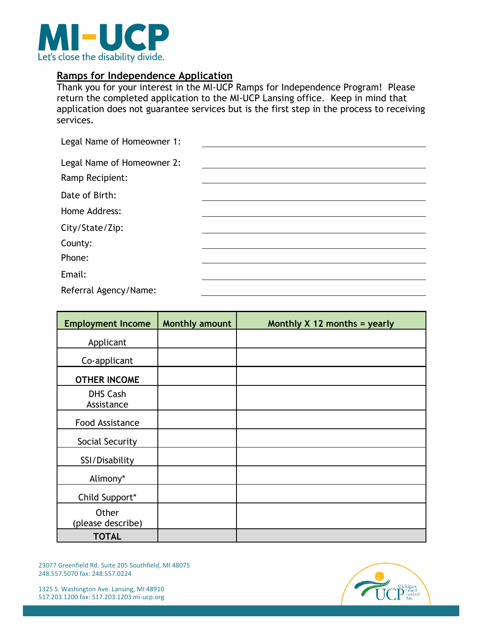

# **Ramps for Independence Application**

Thank you for your interest in the MI-UCP Ramps for Independence Program! Please return the completed application to the MI-UCP Lansing office. Keep in mind that application does not guarantee services but is the first step in the process to receiving services.

| Legal Name of Homeowner 1: |  |
|----------------------------|--|
|                            |  |
| Legal Name of Homeowner 2: |  |
| Ramp Recipient:            |  |
| Date of Birth:             |  |
| Home Address:              |  |
| City/State/Zip:            |  |
| County:                    |  |
| Phone:                     |  |
| Email:                     |  |
| Referral Agency/Name:      |  |

| <b>Employment Income</b>      | <b>Monthly amount</b> | Monthly $X$ 12 months = yearly |
|-------------------------------|-----------------------|--------------------------------|
| Applicant                     |                       |                                |
| Co-applicant                  |                       |                                |
| <b>OTHER INCOME</b>           |                       |                                |
| <b>DHS Cash</b><br>Assistance |                       |                                |
| Food Assistance               |                       |                                |
| Social Security               |                       |                                |
| SSI/Disability                |                       |                                |
| Alimony*                      |                       |                                |
| Child Support*                |                       |                                |
| Other<br>(please describe)    |                       |                                |
| <b>TOTAL</b>                  |                       |                                |

23077 Greenfield Rd. Suite 205 Southfield, MI 48075 248.557.5070 fax: 248.557.0224

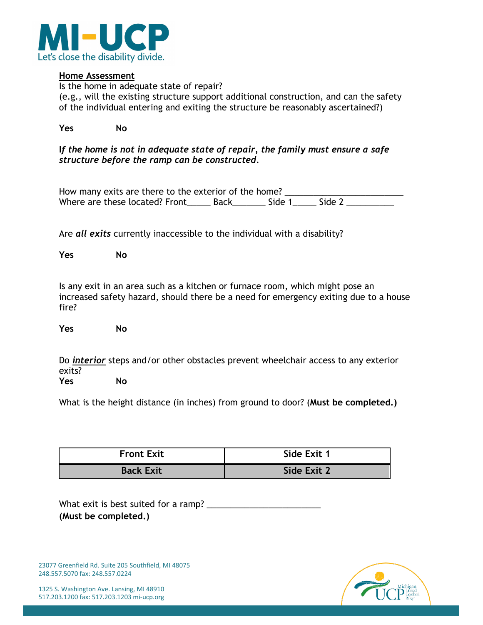

### **Home Assessment**

Is the home in adequate state of repair? (e.g., will the existing structure support additional construction, and can the safety of the individual entering and exiting the structure be reasonably ascertained?)

| Yes | No |
|-----|----|
|-----|----|

## **I***f the home is not in adequate state of repair, the family must ensure a safe structure before the ramp can be constructed.*

How many exits are there to the exterior of the home? \_\_\_\_\_\_\_\_\_\_\_\_\_\_\_\_\_\_\_\_\_\_\_\_\_\_ Where are these located? Front\_\_\_\_\_\_\_ Back\_\_\_\_\_\_\_\_ Side 1\_\_\_\_\_\_ Side 2 \_\_\_\_\_\_\_\_\_

Are *all exits* currently inaccessible to the individual with a disability?

**Yes No** 

Is any exit in an area such as a kitchen or furnace room, which might pose an increased safety hazard, should there be a need for emergency exiting due to a house fire?

**Yes No**

Do *interior* steps and/or other obstacles prevent wheelchair access to any exterior exits? **Yes No** 

What is the height distance (in inches) from ground to door? (**Must be completed.)**

| <b>Front Exit</b> | Side Exit 1 |
|-------------------|-------------|
| <b>Back Exit</b>  | Side Exit 2 |

What exit is best suited for a ramp? \_\_\_\_\_\_\_\_\_\_\_\_\_\_\_\_\_\_\_\_\_\_\_\_ **(Must be completed.)**

23077 Greenfield Rd. Suite 205 Southfield, MI 48075 248.557.5070 fax: 248.557.0224

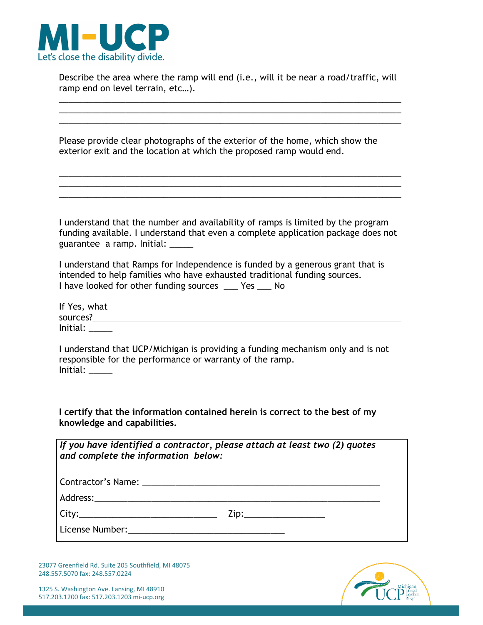

Describe the area where the ramp will end (i.e., will it be near a road/traffic, will ramp end on level terrain, etc…).

\_\_\_\_\_\_\_\_\_\_\_\_\_\_\_\_\_\_\_\_\_\_\_\_\_\_\_\_\_\_\_\_\_\_\_\_\_\_\_\_\_\_\_\_\_\_\_\_\_\_\_\_\_\_\_\_\_\_\_\_\_\_\_\_\_\_\_\_\_\_\_\_ \_\_\_\_\_\_\_\_\_\_\_\_\_\_\_\_\_\_\_\_\_\_\_\_\_\_\_\_\_\_\_\_\_\_\_\_\_\_\_\_\_\_\_\_\_\_\_\_\_\_\_\_\_\_\_\_\_\_\_\_\_\_\_\_\_\_\_\_\_\_\_\_

Please provide clear photographs of the exterior of the home, which show the exterior exit and the location at which the proposed ramp would end.

I understand that the number and availability of ramps is limited by the program funding available. I understand that even a complete application package does not guarantee a ramp. Initial: \_\_\_\_\_

\_\_\_\_\_\_\_\_\_\_\_\_\_\_\_\_\_\_\_\_\_\_\_\_\_\_\_\_\_\_\_\_\_\_\_\_\_\_\_\_\_\_\_\_\_\_\_\_\_\_\_\_\_\_\_\_\_\_\_\_\_\_\_\_\_\_\_\_\_\_\_\_ \_\_\_\_\_\_\_\_\_\_\_\_\_\_\_\_\_\_\_\_\_\_\_\_\_\_\_\_\_\_\_\_\_\_\_\_\_\_\_\_\_\_\_\_\_\_\_\_\_\_\_\_\_\_\_\_\_\_\_\_\_\_\_\_\_\_\_\_\_\_\_\_ \_\_\_\_\_\_\_\_\_\_\_\_\_\_\_\_\_\_\_\_\_\_\_\_\_\_\_\_\_\_\_\_\_\_\_\_\_\_\_\_\_\_\_\_\_\_\_\_\_\_\_\_\_\_\_\_\_\_\_\_\_\_\_\_\_\_\_\_\_\_\_\_

I understand that Ramps for Independence is funded by a generous grant that is intended to help families who have exhausted traditional funding sources. I have looked for other funding sources \_\_\_ Yes \_\_\_ No

| If Yes, what |  |
|--------------|--|
| sources?     |  |
| Initial:     |  |

I understand that UCP/Michigan is providing a funding mechanism only and is not responsible for the performance or warranty of the ramp. Initial: \_\_\_\_\_

**I certify that the information contained herein is correct to the best of my knowledge and capabilities.**

| If you have identified a contractor, please attach at least two (2) quotes<br>and complete the information below: |
|-------------------------------------------------------------------------------------------------------------------|
| Contractor's Name:                                                                                                |

Address:\_\_\_\_\_\_\_\_\_\_\_\_\_\_\_\_\_\_\_\_\_\_\_\_\_\_\_\_\_\_\_\_\_\_\_\_\_\_\_\_\_\_\_\_\_\_\_\_\_\_\_\_\_\_\_\_\_\_\_\_

 $City:$   $Zip:$ 

License Number:\_\_\_\_\_\_\_\_\_\_\_\_\_\_\_\_\_\_\_\_\_\_\_\_\_\_\_\_\_\_\_\_\_

23077 Greenfield Rd. Suite 205 Southfield, MI 48075 248.557.5070 fax: 248.557.0224